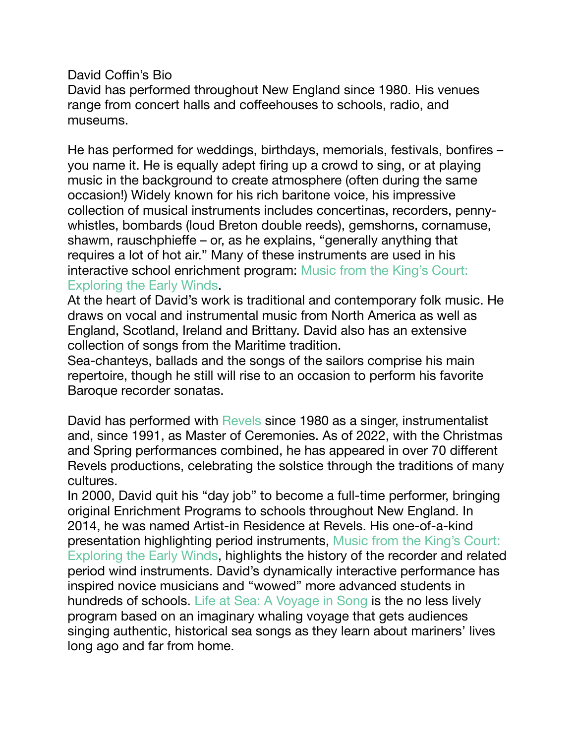David Coffin's Bio

David has performed throughout New England since 1980. His venues range from concert halls and coffeehouses to schools, radio, and museums.

He has performed for weddings, birthdays, memorials, festivals, bonfires – you name it. He is equally adept firing up a crowd to sing, or at playing music in the background to create atmosphere (often during the same occasion!) Widely known for his rich baritone voice, his impressive collection of musical instruments includes concertinas, recorders, pennywhistles, bombards (loud Breton double reeds), gemshorns, cornamuse, shawm, rauschphieffe – or, as he explains, "generally anything that requires a lot of hot air." Many of these instruments are used in his interactive school enrichment program: [Music from the King's Court:](http://davidcoffin.com/enrichment-programs/music-from-the-kings-court/)  [Exploring the Early Winds](http://davidcoffin.com/enrichment-programs/music-from-the-kings-court/).

At the heart of David's work is traditional and contemporary folk music. He draws on vocal and instrumental music from North America as well as England, Scotland, Ireland and Brittany. David also has an extensive collection of songs from the Maritime tradition.

Sea-chanteys, ballads and the songs of the sailors comprise his main repertoire, though he still will rise to an occasion to perform his favorite Baroque recorder sonatas.

David has performed with [Revels](https://www.revels.org/) since 1980 as a singer, instrumentalist and, since 1991, as Master of Ceremonies. As of 2022, with the Christmas and Spring performances combined, he has appeared in over 70 different Revels productions, celebrating the solstice through the traditions of many cultures.

In 2000, David quit his "day job" to become a full-time performer, bringing original Enrichment Programs to schools throughout New England. In 2014, he was named Artist-in Residence at Revels. His one-of-a-kind presentation highlighting period instruments, [Music from the King's Court:](http://davidcoffin.com/enrichment-programs/music-from-the-kings-court/)  [Exploring the Early Winds](http://davidcoffin.com/enrichment-programs/music-from-the-kings-court/), highlights the history of the recorder and related period wind instruments. David's dynamically interactive performance has inspired novice musicians and "wowed" more advanced students in hundreds of schools. [Life at Sea: A Voyage in Song](http://davidcoffin.com/enrichment-programs/life-at-sea/) is the no less lively program based on an imaginary whaling voyage that gets audiences singing authentic, historical sea songs as they learn about mariners' lives long ago and far from home.